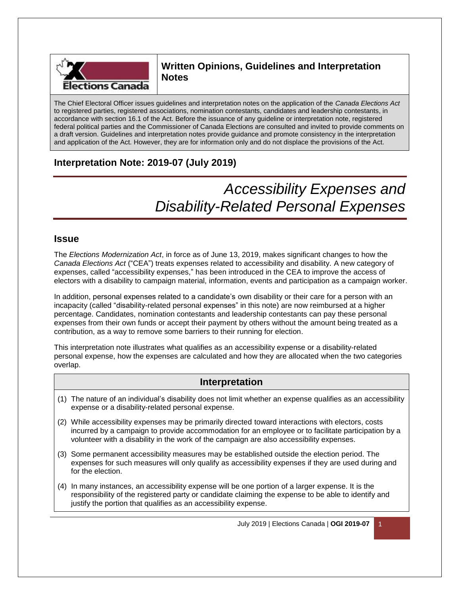

## **Written Opinions, Guidelines and Interpretation Notes**

The Chief Electoral Officer issues guidelines and interpretation notes on the application of the *Canada Elections Act* to registered parties, registered associations, nomination contestants, candidates and leadership contestants, in accordance with section 16.1 of the Act. Before the issuance of any guideline or interpretation note, registered federal political parties and the Commissioner of Canada Elections are consulted and invited to provide comments on a draft version. Guidelines and interpretation notes provide guidance and promote consistency in the interpretation and application of the Act. However, they are for information only and do not displace the provisions of the Act.

# **Interpretation Note: 2019-07 (July 2019)**

# *Accessibility Expenses and Disability-Related Personal Expenses*

## **Issue**

The *Elections Modernization Act*, in force as of June 13, 2019, makes significant changes to how the *Canada Elections Act* ("CEA") treats expenses related to accessibility and disability. A new category of expenses, called "accessibility expenses," has been introduced in the CEA to improve the access of electors with a disability to campaign material, information, events and participation as a campaign worker.

In addition, personal expenses related to a candidate's own disability or their care for a person with an incapacity (called "disability-related personal expenses" in this note) are now reimbursed at a higher percentage. Candidates, nomination contestants and leadership contestants can pay these personal expenses from their own funds or accept their payment by others without the amount being treated as a contribution, as a way to remove some barriers to their running for election.

This interpretation note illustrates what qualifies as an accessibility expense or a disability-related personal expense, how the expenses are calculated and how they are allocated when the two categories overlap.

## **Interpretation**

- (1) The nature of an individual's disability does not limit whether an expense qualifies as an accessibility expense or a disability-related personal expense.
- (2) While accessibility expenses may be primarily directed toward interactions with electors, costs incurred by a campaign to provide accommodation for an employee or to facilitate participation by a volunteer with a disability in the work of the campaign are also accessibility expenses.
- (3) Some permanent accessibility measures may be established outside the election period. The expenses for such measures will only qualify as accessibility expenses if they are used during and for the election.
- (4) In many instances, an accessibility expense will be one portion of a larger expense. It is the responsibility of the registered party or candidate claiming the expense to be able to identify and justify the portion that qualifies as an accessibility expense.

July 2019 | Elections Canada | **OGI 2019-07** 1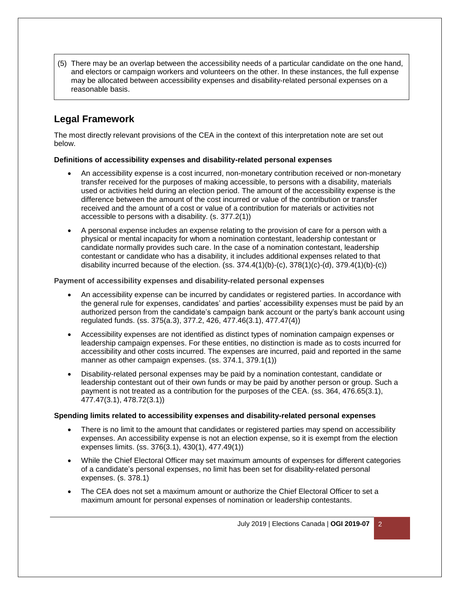(5) There may be an overlap between the accessibility needs of a particular candidate on the one hand, and electors or campaign workers and volunteers on the other. In these instances, the full expense may be allocated between accessibility expenses and disability-related personal expenses on a reasonable basis.

# **Legal Framework**

The most directly relevant provisions of the CEA in the context of this interpretation note are set out below.

#### **Definitions of accessibility expenses and disability-related personal expenses**

- An accessibility expense is a cost incurred, non-monetary contribution received or non-monetary transfer received for the purposes of making accessible, to persons with a disability, materials used or activities held during an election period. The amount of the accessibility expense is the difference between the amount of the cost incurred or value of the contribution or transfer received and the amount of a cost or value of a contribution for materials or activities not accessible to persons with a disability. (s. 377.2(1))
- A personal expense includes an expense relating to the provision of care for a person with a physical or mental incapacity for whom a nomination contestant, leadership contestant or candidate normally provides such care. In the case of a nomination contestant, leadership contestant or candidate who has a disability, it includes additional expenses related to that disability incurred because of the election.  $(ss. 374.4(1)(b)-(c), 378(1)(c)-(d), 379.4(1)(b)-(c))$

#### **Payment of accessibility expenses and disability-related personal expenses**

- An accessibility expense can be incurred by candidates or registered parties. In accordance with the general rule for expenses, candidates' and parties' accessibility expenses must be paid by an authorized person from the candidate's campaign bank account or the party's bank account using regulated funds. (ss. 375(a.3), 377.2, 426, 477.46(3.1), 477.47(4))
- Accessibility expenses are not identified as distinct types of nomination campaign expenses or leadership campaign expenses. For these entities, no distinction is made as to costs incurred for accessibility and other costs incurred. The expenses are incurred, paid and reported in the same manner as other campaign expenses. (ss. 374.1, 379.1(1))
- Disability-related personal expenses may be paid by a nomination contestant, candidate or leadership contestant out of their own funds or may be paid by another person or group. Such a payment is not treated as a contribution for the purposes of the CEA. (ss. 364, 476.65(3.1), 477.47(3.1), 478.72(3.1))

#### **Spending limits related to accessibility expenses and disability-related personal expenses**

- There is no limit to the amount that candidates or registered parties may spend on accessibility expenses. An accessibility expense is not an election expense, so it is exempt from the election expenses limits. (ss. 376(3.1), 430(1), 477.49(1))
- While the Chief Electoral Officer may set maximum amounts of expenses for different categories of a candidate's personal expenses, no limit has been set for disability-related personal expenses. (s. 378.1)
- The CEA does not set a maximum amount or authorize the Chief Electoral Officer to set a maximum amount for personal expenses of nomination or leadership contestants.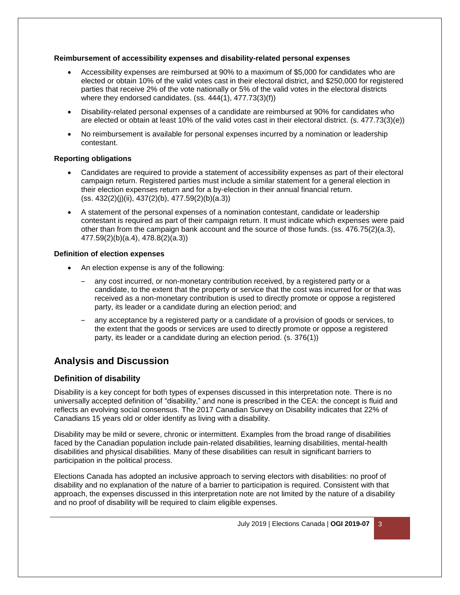#### **Reimbursement of accessibility expenses and disability-related personal expenses**

- Accessibility expenses are reimbursed at 90% to a maximum of \$5,000 for candidates who are elected or obtain 10% of the valid votes cast in their electoral district, and \$250,000 for registered parties that receive 2% of the vote nationally or 5% of the valid votes in the electoral districts where they endorsed candidates. (ss. 444(1), 477.73(3)(f))
- Disability-related personal expenses of a candidate are reimbursed at 90% for candidates who are elected or obtain at least 10% of the valid votes cast in their electoral district. (s. 477.73(3)(e))
- No reimbursement is available for personal expenses incurred by a nomination or leadership contestant.

#### **Reporting obligations**

- Candidates are required to provide a statement of accessibility expenses as part of their electoral campaign return. Registered parties must include a similar statement for a general election in their election expenses return and for a by-election in their annual financial return. (ss. 432(2)(j)(ii), 437(2)(b), 477.59(2)(b)(a.3))
- A statement of the personal expenses of a nomination contestant, candidate or leadership contestant is required as part of their campaign return. It must indicate which expenses were paid other than from the campaign bank account and the source of those funds. (ss. 476.75(2)(a.3), 477.59(2)(b)(a.4), 478.8(2)(a.3))

#### **Definition of election expenses**

- An election expense is any of the following:
	- any cost incurred, or non-monetary contribution received, by a registered party or a candidate, to the extent that the property or service that the cost was incurred for or that was received as a non-monetary contribution is used to directly promote or oppose a registered party, its leader or a candidate during an election period; and
	- any acceptance by a registered party or a candidate of a provision of goods or services, to the extent that the goods or services are used to directly promote or oppose a registered party, its leader or a candidate during an election period. (s. 376(1))

## **Analysis and Discussion**

### **Definition of disability**

Disability is a key concept for both types of expenses discussed in this interpretation note. There is no universally accepted definition of "disability," and none is prescribed in the CEA: the concept is fluid and reflects an evolving social consensus. The 2017 Canadian Survey on Disability indicates that 22% of Canadians 15 years old or older identify as living with a disability.

Disability may be mild or severe, chronic or intermittent. Examples from the broad range of disabilities faced by the Canadian population include pain-related disabilities, learning disabilities, mental-health disabilities and physical disabilities. Many of these disabilities can result in significant barriers to participation in the political process.

Elections Canada has adopted an inclusive approach to serving electors with disabilities: no proof of disability and no explanation of the nature of a barrier to participation is required. Consistent with that approach, the expenses discussed in this interpretation note are not limited by the nature of a disability and no proof of disability will be required to claim eligible expenses.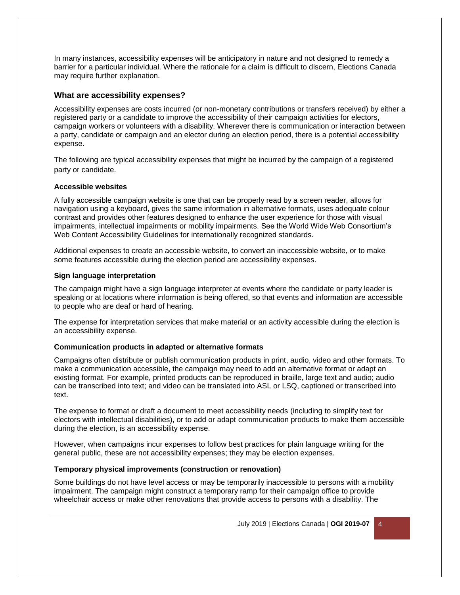In many instances, accessibility expenses will be anticipatory in nature and not designed to remedy a barrier for a particular individual. Where the rationale for a claim is difficult to discern, Elections Canada may require further explanation.

#### **What are accessibility expenses?**

Accessibility expenses are costs incurred (or non-monetary contributions or transfers received) by either a registered party or a candidate to improve the accessibility of their campaign activities for electors, campaign workers or volunteers with a disability. Wherever there is communication or interaction between a party, candidate or campaign and an elector during an election period, there is a potential accessibility expense.

The following are typical accessibility expenses that might be incurred by the campaign of a registered party or candidate.

#### **Accessible websites**

A fully accessible campaign website is one that can be properly read by a screen reader, allows for navigation using a keyboard, gives the same information in alternative formats, uses adequate colour contrast and provides other features designed to enhance the user experience for those with visual impairments, intellectual impairments or mobility impairments. See the World Wide Web Consortium's Web Content Accessibility Guidelines for internationally recognized standards.

Additional expenses to create an accessible website, to convert an inaccessible website, or to make some features accessible during the election period are accessibility expenses.

#### **Sign language interpretation**

The campaign might have a sign language interpreter at events where the candidate or party leader is speaking or at locations where information is being offered, so that events and information are accessible to people who are deaf or hard of hearing.

The expense for interpretation services that make material or an activity accessible during the election is an accessibility expense.

#### **Communication products in adapted or alternative formats**

Campaigns often distribute or publish communication products in print, audio, video and other formats. To make a communication accessible, the campaign may need to add an alternative format or adapt an existing format. For example, printed products can be reproduced in braille, large text and audio; audio can be transcribed into text; and video can be translated into ASL or LSQ, captioned or transcribed into text.

The expense to format or draft a document to meet accessibility needs (including to simplify text for electors with intellectual disabilities), or to add or adapt communication products to make them accessible during the election, is an accessibility expense.

However, when campaigns incur expenses to follow best practices for plain language writing for the general public, these are not accessibility expenses; they may be election expenses.

#### **Temporary physical improvements (construction or renovation)**

Some buildings do not have level access or may be temporarily inaccessible to persons with a mobility impairment. The campaign might construct a temporary ramp for their campaign office to provide wheelchair access or make other renovations that provide access to persons with a disability. The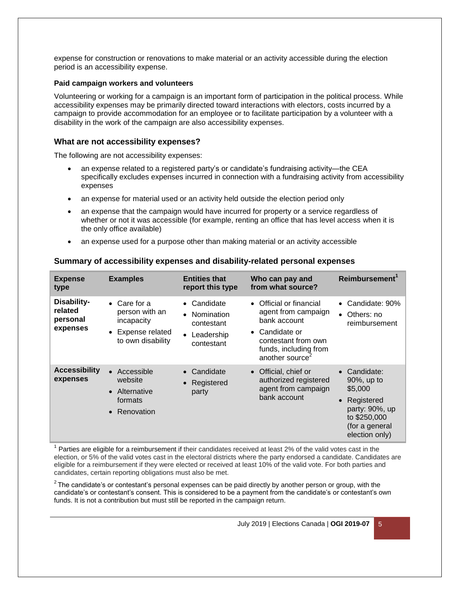expense for construction or renovations to make material or an activity accessible during the election period is an accessibility expense.

#### **Paid campaign workers and volunteers**

Volunteering or working for a campaign is an important form of participation in the political process. While accessibility expenses may be primarily directed toward interactions with electors, costs incurred by a campaign to provide accommodation for an employee or to facilitate participation by a volunteer with a disability in the work of the campaign are also accessibility expenses.

#### **What are not accessibility expenses?**

The following are not accessibility expenses:

- an expense related to a registered party's or candidate's fundraising activity—the CEA specifically excludes expenses incurred in connection with a fundraising activity from accessibility expenses
- an expense for material used or an activity held outside the election period only
- an expense that the campaign would have incurred for property or a service regardless of whether or not it was accessible (for example, renting an office that has level access when it is the only office available)
- an expense used for a purpose other than making material or an activity accessible

#### **Summary of accessibility expenses and disability-related personal expenses**

| <b>Expense</b><br>type                         | <b>Examples</b>                                                                              | <b>Entities that</b><br>report this type                                        | Who can pay and<br>from what source?                                                                                                                                       | Reimbursement                                                                                                           |
|------------------------------------------------|----------------------------------------------------------------------------------------------|---------------------------------------------------------------------------------|----------------------------------------------------------------------------------------------------------------------------------------------------------------------------|-------------------------------------------------------------------------------------------------------------------------|
| Disability-<br>related<br>personal<br>expenses | $\bullet$ Care for a<br>person with an<br>incapacity<br>Expense related<br>to own disability | $\bullet$ Candidate<br>• Nomination<br>contestant<br>• Leadership<br>contestant | • Official or financial<br>agent from campaign<br>bank account<br>Candidate or<br>$\bullet$<br>contestant from own<br>funds, including from<br>another source <sup>®</sup> | • Candidate: 90%<br>Others: no<br>$\bullet$<br>reimbursement                                                            |
| <b>Accessibility</b><br>expenses               | Accessible<br>$\bullet$<br>website<br>• Alternative<br>formats<br>Renovation<br>$\bullet$    | • Candidate<br>• Registered<br>party                                            | • Official, chief or<br>authorized registered<br>agent from campaign<br>bank account                                                                                       | Candidate:<br>90%, up to<br>\$5,000<br>Registered<br>party: 90%, up<br>to \$250,000<br>(for a general<br>election only) |

 $1$  Parties are eligible for a reimbursement if their candidates received at least 2% of the valid votes cast in the election, or 5% of the valid votes cast in the electoral districts where the party endorsed a candidate. Candidates are eligible for a reimbursement if they were elected or received at least 10% of the valid vote. For both parties and candidates, certain reporting obligations must also be met.

 $^2$ The candidate's or contestant's personal expenses can be paid directly by another person or group, with the candidate's or contestant's consent. This is considered to be a payment from the candidate's or contestant's own funds. It is not a contribution but must still be reported in the campaign return.

July 2019 | Elections Canada | **OGI 2019-07** 5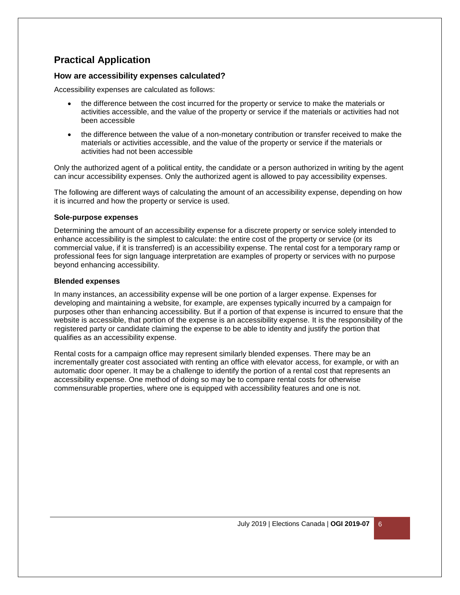## **Practical Application**

#### **How are accessibility expenses calculated?**

Accessibility expenses are calculated as follows:

- the difference between the cost incurred for the property or service to make the materials or activities accessible, and the value of the property or service if the materials or activities had not been accessible
- the difference between the value of a non-monetary contribution or transfer received to make the materials or activities accessible, and the value of the property or service if the materials or activities had not been accessible

Only the authorized agent of a political entity, the candidate or a person authorized in writing by the agent can incur accessibility expenses. Only the authorized agent is allowed to pay accessibility expenses.

The following are different ways of calculating the amount of an accessibility expense, depending on how it is incurred and how the property or service is used.

#### **Sole-purpose expenses**

Determining the amount of an accessibility expense for a discrete property or service solely intended to enhance accessibility is the simplest to calculate: the entire cost of the property or service (or its commercial value, if it is transferred) is an accessibility expense. The rental cost for a temporary ramp or professional fees for sign language interpretation are examples of property or services with no purpose beyond enhancing accessibility.

#### **Blended expenses**

In many instances, an accessibility expense will be one portion of a larger expense. Expenses for developing and maintaining a website, for example, are expenses typically incurred by a campaign for purposes other than enhancing accessibility. But if a portion of that expense is incurred to ensure that the website is accessible, that portion of the expense is an accessibility expense. It is the responsibility of the registered party or candidate claiming the expense to be able to identity and justify the portion that qualifies as an accessibility expense.

Rental costs for a campaign office may represent similarly blended expenses. There may be an incrementally greater cost associated with renting an office with elevator access, for example, or with an automatic door opener. It may be a challenge to identify the portion of a rental cost that represents an accessibility expense. One method of doing so may be to compare rental costs for otherwise commensurable properties, where one is equipped with accessibility features and one is not.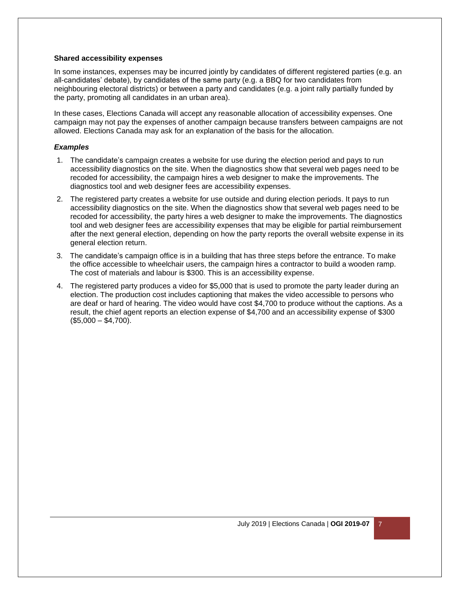#### **Shared accessibility expenses**

In some instances, expenses may be incurred jointly by candidates of different registered parties (e.g. an all-candidates' debate), by candidates of the same party (e.g. a BBQ for two candidates from neighbouring electoral districts) or between a party and candidates (e.g. a joint rally partially funded by the party, promoting all candidates in an urban area).

In these cases, Elections Canada will accept any reasonable allocation of accessibility expenses. One campaign may not pay the expenses of another campaign because transfers between campaigns are not allowed. Elections Canada may ask for an explanation of the basis for the allocation.

#### *Examples*

- 1. The candidate's campaign creates a website for use during the election period and pays to run accessibility diagnostics on the site. When the diagnostics show that several web pages need to be recoded for accessibility, the campaign hires a web designer to make the improvements. The diagnostics tool and web designer fees are accessibility expenses.
- 2. The registered party creates a website for use outside and during election periods. It pays to run accessibility diagnostics on the site. When the diagnostics show that several web pages need to be recoded for accessibility, the party hires a web designer to make the improvements. The diagnostics tool and web designer fees are accessibility expenses that may be eligible for partial reimbursement after the next general election, depending on how the party reports the overall website expense in its general election return.
- 3. The candidate's campaign office is in a building that has three steps before the entrance. To make the office accessible to wheelchair users, the campaign hires a contractor to build a wooden ramp. The cost of materials and labour is \$300. This is an accessibility expense.
- 4. The registered party produces a video for \$5,000 that is used to promote the party leader during an election. The production cost includes captioning that makes the video accessible to persons who are deaf or hard of hearing. The video would have cost \$4,700 to produce without the captions. As a result, the chief agent reports an election expense of \$4,700 and an accessibility expense of \$300  $($5,000 - $4,700).$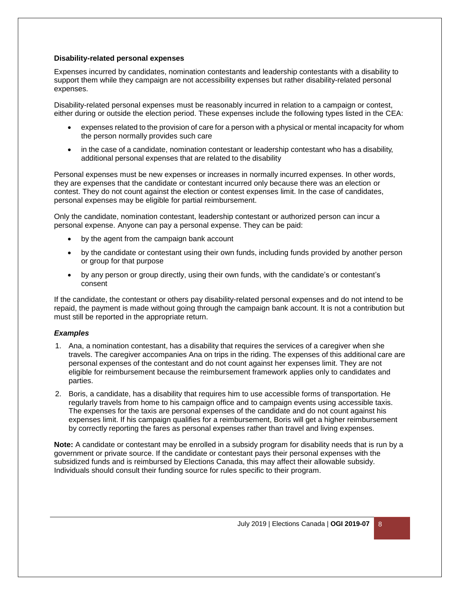#### **Disability-related personal expenses**

Expenses incurred by candidates, nomination contestants and leadership contestants with a disability to support them while they campaign are not accessibility expenses but rather disability-related personal expenses.

Disability-related personal expenses must be reasonably incurred in relation to a campaign or contest, either during or outside the election period. These expenses include the following types listed in the CEA:

- expenses related to the provision of care for a person with a physical or mental incapacity for whom the person normally provides such care
- in the case of a candidate, nomination contestant or leadership contestant who has a disability, additional personal expenses that are related to the disability

Personal expenses must be new expenses or increases in normally incurred expenses. In other words, they are expenses that the candidate or contestant incurred only because there was an election or contest. They do not count against the election or contest expenses limit. In the case of candidates, personal expenses may be eligible for partial reimbursement.

Only the candidate, nomination contestant, leadership contestant or authorized person can incur a personal expense. Anyone can pay a personal expense. They can be paid:

- by the agent from the campaign bank account
- by the candidate or contestant using their own funds, including funds provided by another person or group for that purpose
- by any person or group directly, using their own funds, with the candidate's or contestant's consent

If the candidate, the contestant or others pay disability-related personal expenses and do not intend to be repaid, the payment is made without going through the campaign bank account. It is not a contribution but must still be reported in the appropriate return.

#### *Examples*

- 1. Ana, a nomination contestant, has a disability that requires the services of a caregiver when she travels. The caregiver accompanies Ana on trips in the riding. The expenses of this additional care are personal expenses of the contestant and do not count against her expenses limit. They are not eligible for reimbursement because the reimbursement framework applies only to candidates and parties.
- 2. Boris, a candidate, has a disability that requires him to use accessible forms of transportation. He regularly travels from home to his campaign office and to campaign events using accessible taxis. The expenses for the taxis are personal expenses of the candidate and do not count against his expenses limit. If his campaign qualifies for a reimbursement, Boris will get a higher reimbursement by correctly reporting the fares as personal expenses rather than travel and living expenses.

**Note:** A candidate or contestant may be enrolled in a subsidy program for disability needs that is run by a government or private source. If the candidate or contestant pays their personal expenses with the subsidized funds and is reimbursed by Elections Canada, this may affect their allowable subsidy. Individuals should consult their funding source for rules specific to their program.